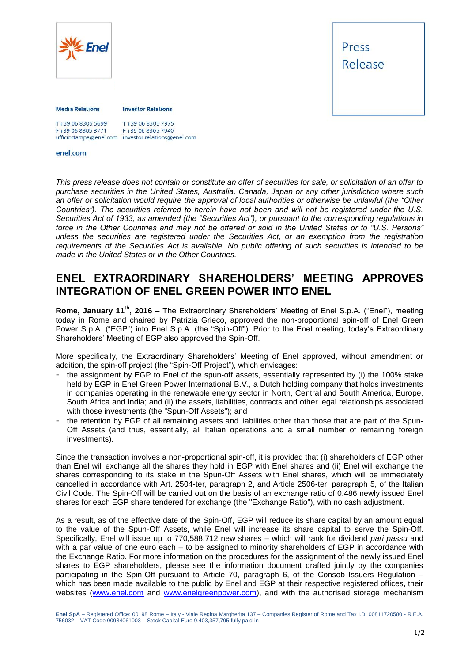



#### **Media Relations**

**Investor Relations** 

| T+39 06 8305 5699 | T+39 06 8305 7975                                  |
|-------------------|----------------------------------------------------|
| F+39 06 8305 3771 | F+39 06 8305 7940                                  |
|                   | ufficiostampa@enel.com investor.relations@enel.com |

#### enel.com

*This press release does not contain or constitute an offer of securities for sale, or solicitation of an offer to purchase securities in the United States, Australia, Canada, Japan or any other jurisdiction where such an offer or solicitation would require the approval of local authorities or otherwise be unlawful (the "Other Countries"). The securities referred to herein have not been and will not be registered under the U.S. Securities Act of 1933, as amended (the "Securities Act"), or pursuant to the corresponding regulations in force in the Other Countries and may not be offered or sold in the United States or to "U.S. Persons" unless the securities are registered under the Securities Act, or an exemption from the registration requirements of the Securities Act is available. No public offering of such securities is intended to be made in the United States or in the Other Countries.*

# **ENEL EXTRAORDINARY SHAREHOLDERS' MEETING APPROVES INTEGRATION OF ENEL GREEN POWER INTO ENEL**

**Rome, January 11th, 2016** – The Extraordinary Shareholders' Meeting of Enel S.p.A. ("Enel"), meeting today in Rome and chaired by Patrizia Grieco, approved the non-proportional spin-off of Enel Green Power S.p.A. ("EGP") into Enel S.p.A. (the "Spin-Off"). Prior to the Enel meeting, today's Extraordinary Shareholders' Meeting of EGP also approved the Spin-Off.

More specifically, the Extraordinary Shareholders' Meeting of Enel approved, without amendment or addition, the spin-off project (the "Spin-Off Project"), which envisages:

- the assignment by EGP to Enel of the spun-off assets, essentially represented by (i) the 100% stake held by EGP in Enel Green Power International B.V., a Dutch holding company that holds investments in companies operating in the renewable energy sector in North, Central and South America, Europe, South Africa and India; and (ii) the assets, liabilities, contracts and other legal relationships associated with those investments (the "Spun-Off Assets"); and
- the retention by EGP of all remaining assets and liabilities other than those that are part of the Spun-Off Assets (and thus, essentially, all Italian operations and a small number of remaining foreign investments).

Since the transaction involves a non-proportional spin-off, it is provided that (i) shareholders of EGP other than Enel will exchange all the shares they hold in EGP with Enel shares and (ii) Enel will exchange the shares corresponding to its stake in the Spun-Off Assets with Enel shares, which will be immediately cancelled in accordance with Art. 2504-ter, paragraph 2, and Article 2506-ter, paragraph 5, of the Italian Civil Code. The Spin-Off will be carried out on the basis of an exchange ratio of 0.486 newly issued Enel shares for each EGP share tendered for exchange (the "Exchange Ratio"), with no cash adjustment.

As a result, as of the effective date of the Spin-Off, EGP will reduce its share capital by an amount equal to the value of the Spun-Off Assets, while Enel will increase its share capital to serve the Spin-Off. Specifically, Enel will issue up to 770,588,712 new shares – which will rank for dividend *pari passu* and with a par value of one euro each – to be assigned to minority shareholders of EGP in accordance with the Exchange Ratio. For more information on the procedures for the assignment of the newly issued Enel shares to EGP shareholders, please see the information document drafted jointly by the companies participating in the Spin-Off pursuant to Article 70, paragraph 6, of the Consob Issuers Regulation – which has been made available to the public by Enel and EGP at their respective registered offices, their websites [\(www.enel.com](http://www.enel.com/) and [www.enelgreenpower.com\)](http://www.enelgreenpower.com/), and with the authorised storage mechanism